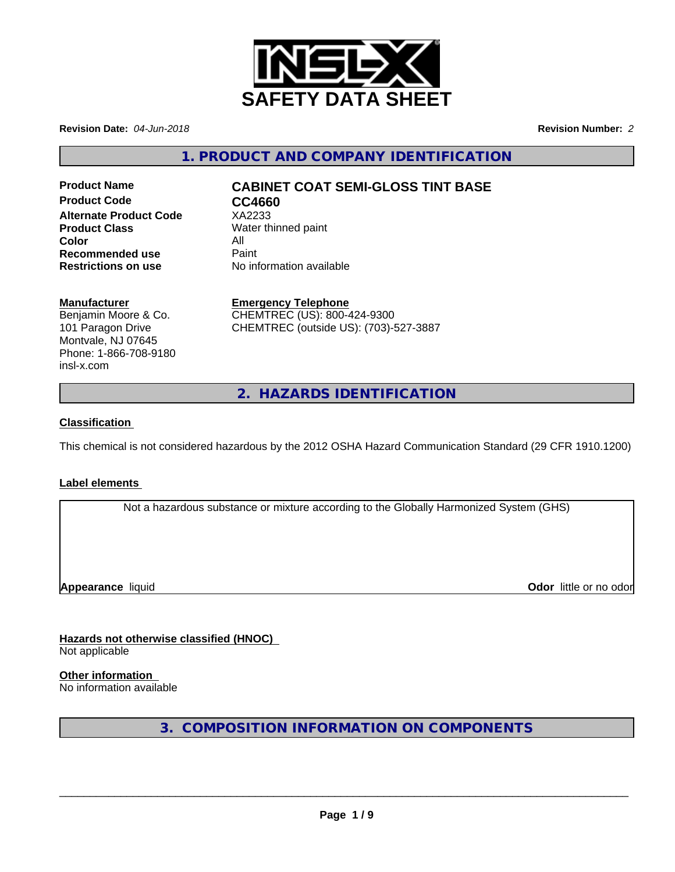

**Revision Date:** *04-Jun-2018* **Revision Number:** *2*

**1. PRODUCT AND COMPANY IDENTIFICATION**

**Product Code CC4660 Alternate Product Code** XA2233 **Product Class** Water thinned paint **Color** All All<br>**Recommended use** Paint **Recommended use<br>Restrictions on use** 

# **Product Name CABINET COAT SEMI-GLOSS TINT BASE**

**No information available** 

### **Manufacturer**

Benjamin Moore & Co. 101 Paragon Drive Montvale, NJ 07645 Phone: 1-866-708-9180 insl-x.com

**Emergency Telephone** CHEMTREC (US): 800-424-9300 CHEMTREC (outside US): (703)-527-3887

**2. HAZARDS IDENTIFICATION**

## **Classification**

This chemical is not considered hazardous by the 2012 OSHA Hazard Communication Standard (29 CFR 1910.1200)

## **Label elements**

Not a hazardous substance or mixture according to the Globally Harmonized System (GHS)

**Appearance** liquid **Contract Contract Contract Contract Contract Contract Contract Contract Contract Contract Contract Contract Contract Contract Contract Contract Contract Contract Contract Contract Contract Contract Con** 

**Hazards not otherwise classified (HNOC)** Not applicable

**Other information** No information available

**3. COMPOSITION INFORMATION ON COMPONENTS**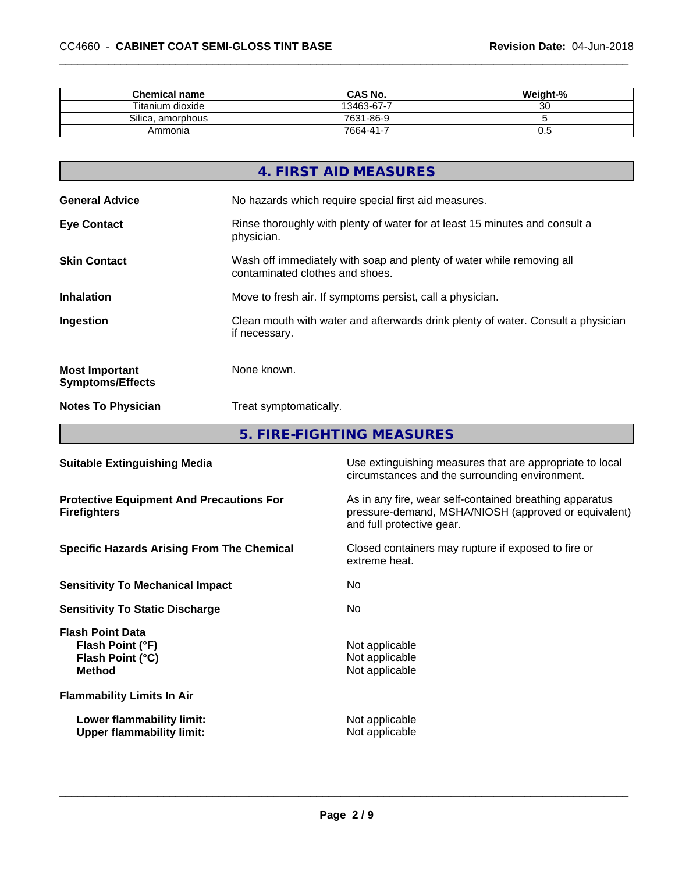| <b>Chemical name</b>  | <b>CAS No.</b>     | Weight-%     |
|-----------------------|--------------------|--------------|
| Titanium dioxide      | 13463-67-7         | $\sim$<br>ັບ |
| Silica<br>, amorphous | 7631-86-9          |              |
| Ammonia               | $7664 - 41 -$<br>- | v.J          |

|                                                  | 4. FIRST AID MEASURES                                                                                    |
|--------------------------------------------------|----------------------------------------------------------------------------------------------------------|
| <b>General Advice</b>                            | No hazards which require special first aid measures.                                                     |
| <b>Eye Contact</b>                               | Rinse thoroughly with plenty of water for at least 15 minutes and consult a<br>physician.                |
| <b>Skin Contact</b>                              | Wash off immediately with soap and plenty of water while removing all<br>contaminated clothes and shoes. |
| <b>Inhalation</b>                                | Move to fresh air. If symptoms persist, call a physician.                                                |
| Ingestion                                        | Clean mouth with water and afterwards drink plenty of water. Consult a physician<br>if necessary.        |
| <b>Most Important</b><br><b>Symptoms/Effects</b> | None known.                                                                                              |
| <b>Notes To Physician</b>                        | Treat symptomatically.                                                                                   |
|                                                  |                                                                                                          |

**5. FIRE-FIGHTING MEASURES 1999 THE SERVICE STATE** 

| <b>Suitable Extinguishing Media</b>                                              | Use extinguishing measures that are appropriate to local<br>circumstances and the surrounding environment.                                   |
|----------------------------------------------------------------------------------|----------------------------------------------------------------------------------------------------------------------------------------------|
| <b>Protective Equipment And Precautions For</b><br><b>Firefighters</b>           | As in any fire, wear self-contained breathing apparatus<br>pressure-demand, MSHA/NIOSH (approved or equivalent)<br>and full protective gear. |
| <b>Specific Hazards Arising From The Chemical</b>                                | Closed containers may rupture if exposed to fire or<br>extreme heat.                                                                         |
| <b>Sensitivity To Mechanical Impact</b>                                          | No.                                                                                                                                          |
| <b>Sensitivity To Static Discharge</b>                                           | No.                                                                                                                                          |
| <b>Flash Point Data</b><br>Flash Point (°F)<br>Flash Point (°C)<br><b>Method</b> | Not applicable<br>Not applicable<br>Not applicable                                                                                           |
| <b>Flammability Limits In Air</b>                                                |                                                                                                                                              |
| Lower flammability limit:<br><b>Upper flammability limit:</b>                    | Not applicable<br>Not applicable                                                                                                             |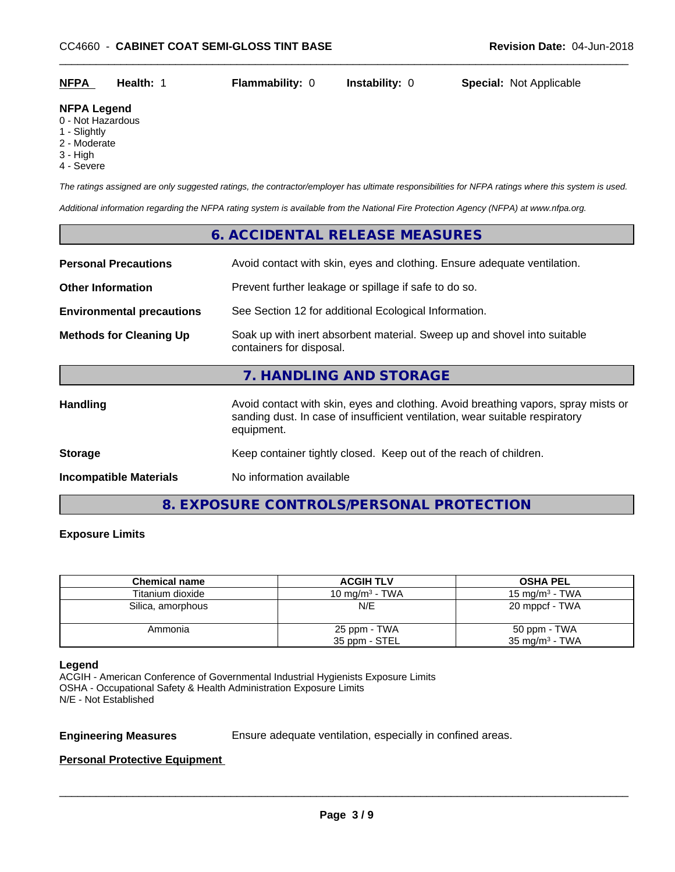| <b>NFPA</b> | Health: | <b>Flammability: 0</b> | <b>Instability: 0</b> | <b>Special: Not Applicable</b> |
|-------------|---------|------------------------|-----------------------|--------------------------------|

#### **NFPA Legend**

- 0 Not Hazardous
- 1 Slightly
- 2 Moderate
- 3 High
- 4 Severe

*The ratings assigned are only suggested ratings, the contractor/employer has ultimate responsibilities for NFPA ratings where this system is used.*

*Additional information regarding the NFPA rating system is available from the National Fire Protection Agency (NFPA) at www.nfpa.org.*

## **6. ACCIDENTAL RELEASE MEASURES**

| <b>Personal Precautions</b>      | Avoid contact with skin, eyes and clothing. Ensure adequate ventilation.                                                                                                         |  |
|----------------------------------|----------------------------------------------------------------------------------------------------------------------------------------------------------------------------------|--|
|                                  |                                                                                                                                                                                  |  |
| <b>Other Information</b>         | Prevent further leakage or spillage if safe to do so.                                                                                                                            |  |
| <b>Environmental precautions</b> | See Section 12 for additional Ecological Information.                                                                                                                            |  |
| <b>Methods for Cleaning Up</b>   | Soak up with inert absorbent material. Sweep up and shovel into suitable<br>containers for disposal.                                                                             |  |
|                                  | 7. HANDLING AND STORAGE                                                                                                                                                          |  |
| <b>Handling</b>                  | Avoid contact with skin, eyes and clothing. Avoid breathing vapors, spray mists or<br>sanding dust. In case of insufficient ventilation, wear suitable respiratory<br>equipment. |  |
| <b>Storage</b>                   | Keep container tightly closed. Keep out of the reach of children.                                                                                                                |  |
| <b>Incompatible Materials</b>    | No information available                                                                                                                                                         |  |
|                                  |                                                                                                                                                                                  |  |

**8. EXPOSURE CONTROLS/PERSONAL PROTECTION**

## **Exposure Limits**

| <b>Chemical name</b> | <b>ACGIH TLV</b>              | <b>OSHA PEL</b>                           |
|----------------------|-------------------------------|-------------------------------------------|
| Titanium dioxide     | 10 mg/m $3$ - TWA             | $15 \text{ mg/m}^3$ - TWA                 |
| Silica, amorphous    | N/E                           | 20 mppcf - TWA                            |
| Ammonia              | 25 ppm - TWA<br>35 ppm - STEL | 50 ppm - TWA<br>$35 \text{ mg/m}^3$ - TWA |

#### **Legend**

ACGIH - American Conference of Governmental Industrial Hygienists Exposure Limits OSHA - Occupational Safety & Health Administration Exposure Limits N/E - Not Established

**Engineering Measures** Ensure adequate ventilation, especially in confined areas.

 $\overline{\phantom{a}}$  ,  $\overline{\phantom{a}}$  ,  $\overline{\phantom{a}}$  ,  $\overline{\phantom{a}}$  ,  $\overline{\phantom{a}}$  ,  $\overline{\phantom{a}}$  ,  $\overline{\phantom{a}}$  ,  $\overline{\phantom{a}}$  ,  $\overline{\phantom{a}}$  ,  $\overline{\phantom{a}}$  ,  $\overline{\phantom{a}}$  ,  $\overline{\phantom{a}}$  ,  $\overline{\phantom{a}}$  ,  $\overline{\phantom{a}}$  ,  $\overline{\phantom{a}}$  ,  $\overline{\phantom{a}}$ 

## **Personal Protective Equipment**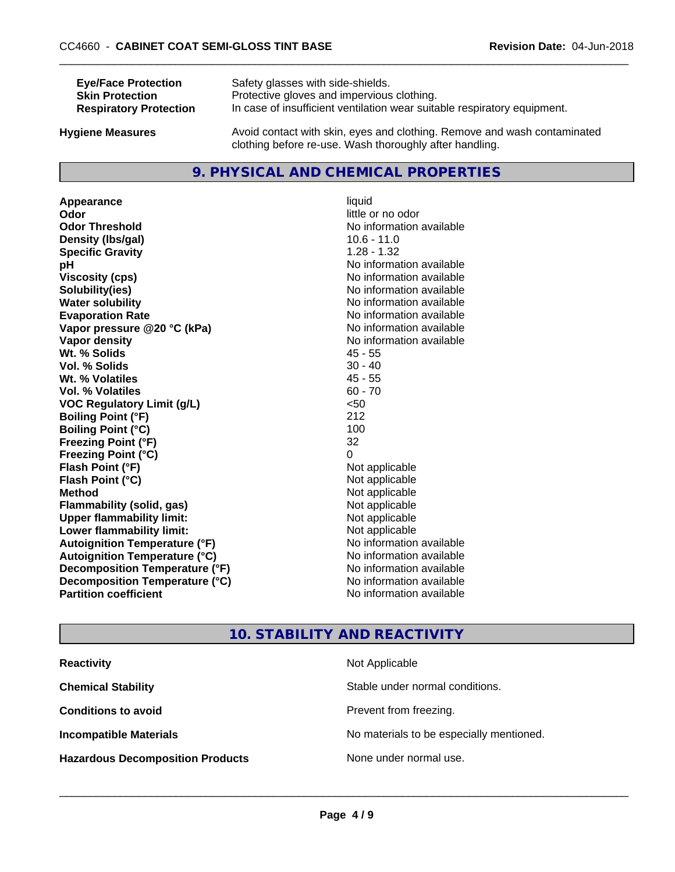| <b>Eye/Face Protection</b>    | Safety glasses with side-shields.                                        |
|-------------------------------|--------------------------------------------------------------------------|
| <b>Skin Protection</b>        | Protective gloves and impervious clothing.                               |
| <b>Respiratory Protection</b> | In case of insufficient ventilation wear suitable respiratory equipment. |
| Ivaiono Moscuros              | Avoid contact with skin, eves and clothing. Remove and wash contaminated |

**Hygiene Measures** Avoid contact with skin, eyes and clothing. Remove and wash contaminated clothing before re-use. Wash thoroughly after handling.

# **9. PHYSICAL AND CHEMICAL PROPERTIES**

**Appearance** liquid **Odor** little or no odor **Odor Threshold** No information available **Density (lbs/gal)** 10.6 - 11.0<br> **Specific Gravity** 1.28 - 1.32 **Specific Gravity pH pH**  $\blacksquare$ **Viscosity (cps)** No information available<br> **Solubility (ies)** No information available<br>
No information available **Water solubility** No information available **Evaporation Rate Evaporation Rate No information available Vapor pressure @20 °C (kPa)** No information available **Vapor density** No information available **Wt. % Solids** 45 - 55 **Vol. % Solids Wt. % Volatiles** 45 - 55 **Vol. % Volatiles** 60 - 70 **VOC Regulatory Limit (g/L)** <50 **Boiling Point (°F)** 212 **Boiling Point**  $(^{\circ}C)$  100 **Freezing Point (°F)** 32 **Freezing Point (°C)** 0 **Flash Point (°F)**  $\blacksquare$  **Point Point Propilers Point Propilers Propilers Propilers Propilers Propilers Propilers Propilers Propilers Propilers Propilers Propilers Propilers Propilers Pro Flash Point (°C)** Not applicable **Method** Not applicable<br> **Flammability (solid, gas)** Not applicable Not applicable **Flammability** (solid, gas) **Upper flammability limit:**<br> **Lower flammability limit:** Not applicable Not applicable **Lower flammability limit:**<br> **Autoignition Temperature (°F)** Not applicable havailable **Autoignition Temperature (°F) Autoignition Temperature (°C)** No information available **Decomposition Temperature (°F)** No information available **Decomposition Temperature (°C)**<br> **Partition coefficient**<br> **Partition coefficient**<br> **Partition coefficient** 

**Solubility(ies)** No information available **No information available** 

# **10. STABILITY AND REACTIVITY**

| <b>Reactivity</b>                       | Not Applicable                           |
|-----------------------------------------|------------------------------------------|
| <b>Chemical Stability</b>               | Stable under normal conditions.          |
| <b>Conditions to avoid</b>              | Prevent from freezing.                   |
| <b>Incompatible Materials</b>           | No materials to be especially mentioned. |
| <b>Hazardous Decomposition Products</b> | None under normal use.                   |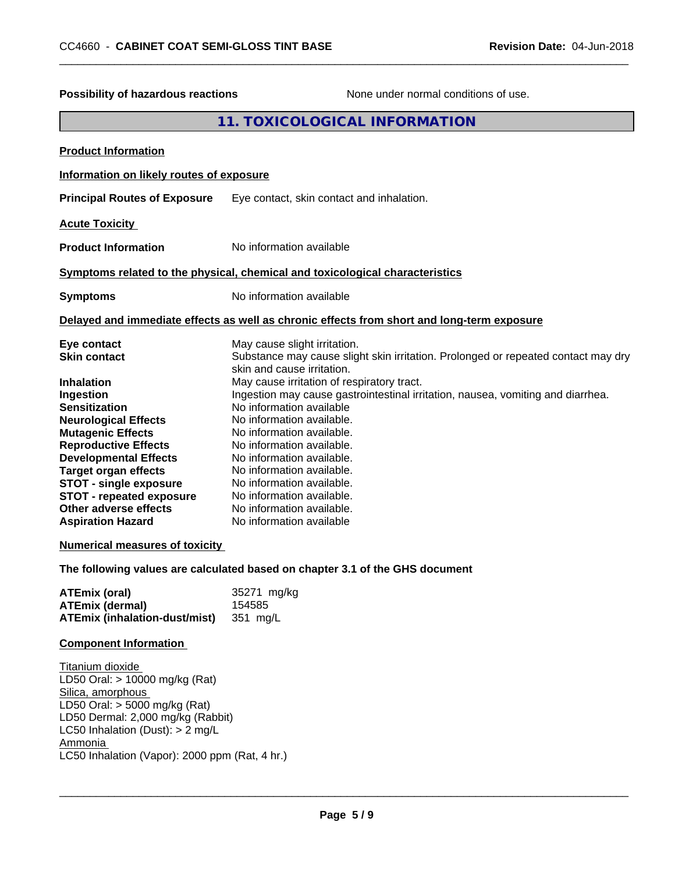| Possibility of hazardous reactions                                                                                                                                                                                                                                                                                                                                                                                                                                                                         | None under normal conditions of use.                                                                                                                                                                                                                                                                                                                                                                                                                                                                                                                                                                                                                                                                  |  |  |
|------------------------------------------------------------------------------------------------------------------------------------------------------------------------------------------------------------------------------------------------------------------------------------------------------------------------------------------------------------------------------------------------------------------------------------------------------------------------------------------------------------|-------------------------------------------------------------------------------------------------------------------------------------------------------------------------------------------------------------------------------------------------------------------------------------------------------------------------------------------------------------------------------------------------------------------------------------------------------------------------------------------------------------------------------------------------------------------------------------------------------------------------------------------------------------------------------------------------------|--|--|
|                                                                                                                                                                                                                                                                                                                                                                                                                                                                                                            | 11. TOXICOLOGICAL INFORMATION                                                                                                                                                                                                                                                                                                                                                                                                                                                                                                                                                                                                                                                                         |  |  |
| <b>Product Information</b>                                                                                                                                                                                                                                                                                                                                                                                                                                                                                 |                                                                                                                                                                                                                                                                                                                                                                                                                                                                                                                                                                                                                                                                                                       |  |  |
| Information on likely routes of exposure                                                                                                                                                                                                                                                                                                                                                                                                                                                                   |                                                                                                                                                                                                                                                                                                                                                                                                                                                                                                                                                                                                                                                                                                       |  |  |
| <b>Principal Routes of Exposure</b>                                                                                                                                                                                                                                                                                                                                                                                                                                                                        | Eye contact, skin contact and inhalation.                                                                                                                                                                                                                                                                                                                                                                                                                                                                                                                                                                                                                                                             |  |  |
| <b>Acute Toxicity</b>                                                                                                                                                                                                                                                                                                                                                                                                                                                                                      |                                                                                                                                                                                                                                                                                                                                                                                                                                                                                                                                                                                                                                                                                                       |  |  |
| <b>Product Information</b>                                                                                                                                                                                                                                                                                                                                                                                                                                                                                 | No information available                                                                                                                                                                                                                                                                                                                                                                                                                                                                                                                                                                                                                                                                              |  |  |
|                                                                                                                                                                                                                                                                                                                                                                                                                                                                                                            | Symptoms related to the physical, chemical and toxicological characteristics                                                                                                                                                                                                                                                                                                                                                                                                                                                                                                                                                                                                                          |  |  |
| <b>Symptoms</b>                                                                                                                                                                                                                                                                                                                                                                                                                                                                                            | No information available                                                                                                                                                                                                                                                                                                                                                                                                                                                                                                                                                                                                                                                                              |  |  |
| Delayed and immediate effects as well as chronic effects from short and long-term exposure                                                                                                                                                                                                                                                                                                                                                                                                                 |                                                                                                                                                                                                                                                                                                                                                                                                                                                                                                                                                                                                                                                                                                       |  |  |
| Eye contact<br><b>Skin contact</b><br>Inhalation<br>Ingestion<br><b>Sensitization</b><br><b>Neurological Effects</b><br><b>Mutagenic Effects</b><br><b>Reproductive Effects</b><br><b>Developmental Effects</b><br><b>Target organ effects</b><br><b>STOT - single exposure</b><br><b>STOT - repeated exposure</b><br>Other adverse effects<br><b>Aspiration Hazard</b><br><b>Numerical measures of toxicity</b><br><b>ATEmix (oral)</b><br><b>ATEmix (dermal)</b><br><b>ATEmix (inhalation-dust/mist)</b> | May cause slight irritation.<br>Substance may cause slight skin irritation. Prolonged or repeated contact may dry<br>skin and cause irritation.<br>May cause irritation of respiratory tract.<br>Ingestion may cause gastrointestinal irritation, nausea, vomiting and diarrhea.<br>No information available<br>No information available.<br>No information available.<br>No information available.<br>No information available.<br>No information available.<br>No information available.<br>No information available.<br>No information available.<br>No information available<br>The following values are calculated based on chapter 3.1 of the GHS document<br>35271 mg/kg<br>154585<br>351 mg/L |  |  |
| <b>Component Information</b>                                                                                                                                                                                                                                                                                                                                                                                                                                                                               |                                                                                                                                                                                                                                                                                                                                                                                                                                                                                                                                                                                                                                                                                                       |  |  |
| Titanium dioxide<br>LD50 Oral: > 10000 mg/kg (Rat)<br>Silica, amorphous<br>LD50 Oral: > 5000 mg/kg (Rat)<br>LD50 Dermal: 2,000 mg/kg (Rabbit)<br>LC50 Inhalation (Dust): > 2 mg/L<br>Ammonia<br>LC50 Inhalation (Vapor): 2000 ppm (Rat, 4 hr.)                                                                                                                                                                                                                                                             |                                                                                                                                                                                                                                                                                                                                                                                                                                                                                                                                                                                                                                                                                                       |  |  |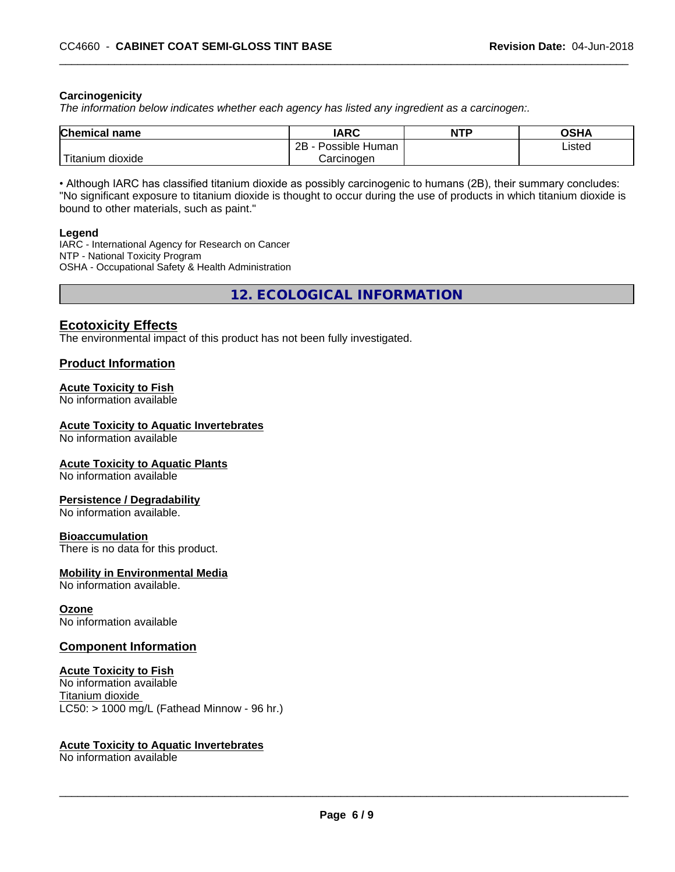#### **Carcinogenicity**

*The information below indicateswhether each agency has listed any ingredient as a carcinogen:.*

| <b>Chemical name</b>               | <b>IARC</b>                    | <b>NTF</b> | ດເ⊔າ<br>UJNA |
|------------------------------------|--------------------------------|------------|--------------|
|                                    | .<br>2B<br>Possible<br>⊧ Human |            | Listed       |
| <b>TELL</b><br>dioxide<br>Titanium | Carcinogen                     |            |              |

• Although IARC has classified titanium dioxide as possibly carcinogenic to humans (2B), their summary concludes: "No significant exposure to titanium dioxide is thought to occur during the use of products in which titanium dioxide is bound to other materials, such as paint."

#### **Legend**

IARC - International Agency for Research on Cancer NTP - National Toxicity Program OSHA - Occupational Safety & Health Administration

**12. ECOLOGICAL INFORMATION**

## **Ecotoxicity Effects**

The environmental impact of this product has not been fully investigated.

### **Product Information**

#### **Acute Toxicity to Fish**

No information available

#### **Acute Toxicity to Aquatic Invertebrates**

No information available

#### **Acute Toxicity to Aquatic Plants**

No information available

#### **Persistence / Degradability**

No information available.

#### **Bioaccumulation**

There is no data for this product.

#### **Mobility in Environmental Media**

No information available.

#### **Ozone**

No information available

#### **Component Information**

#### **Acute Toxicity to Fish**

No information available Titanium dioxide  $LC50:$  > 1000 mg/L (Fathead Minnow - 96 hr.)

#### **Acute Toxicity to Aquatic Invertebrates**

No information available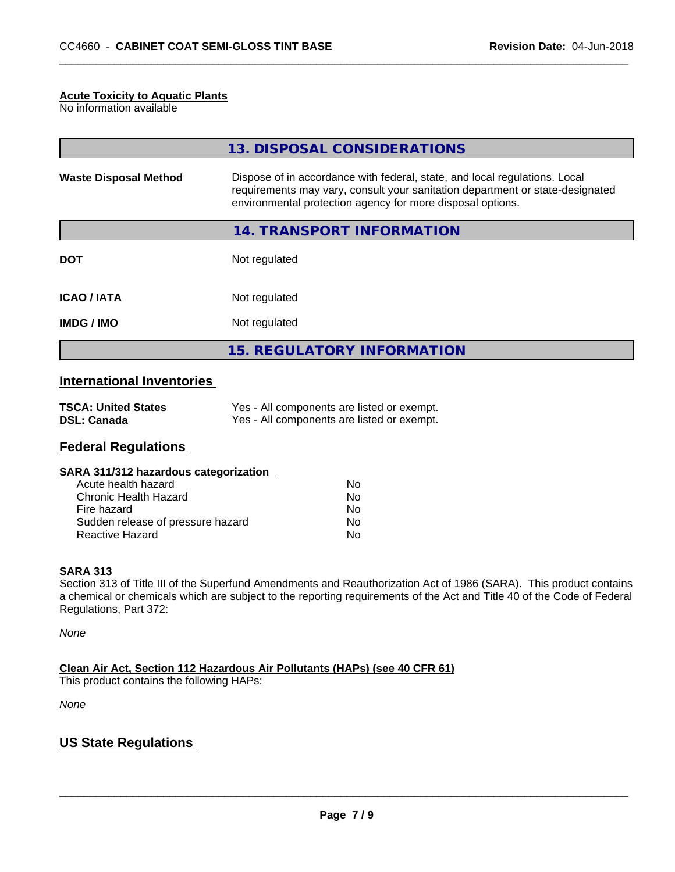#### **Acute Toxicity to Aquatic Plants**

No information available

|                              | 13. DISPOSAL CONSIDERATIONS                                                                                                                                                                                               |
|------------------------------|---------------------------------------------------------------------------------------------------------------------------------------------------------------------------------------------------------------------------|
| <b>Waste Disposal Method</b> | Dispose of in accordance with federal, state, and local regulations. Local<br>requirements may vary, consult your sanitation department or state-designated<br>environmental protection agency for more disposal options. |
|                              | 14. TRANSPORT INFORMATION                                                                                                                                                                                                 |
| <b>DOT</b>                   | Not regulated                                                                                                                                                                                                             |
| <b>ICAO/IATA</b>             | Not regulated                                                                                                                                                                                                             |
| <b>IMDG/IMO</b>              | Not regulated                                                                                                                                                                                                             |
|                              | 15. REGULATORY INFORMATION                                                                                                                                                                                                |

# **International Inventories**

| <b>TSCA: United States</b> | Yes - All components are listed or exempt. |
|----------------------------|--------------------------------------------|
| <b>DSL: Canada</b>         | Yes - All components are listed or exempt. |

# **Federal Regulations**

| SARA 311/312 hazardous categorization |    |  |
|---------------------------------------|----|--|
| Acute health hazard                   | Nο |  |
| Chronic Health Hazard                 | Nο |  |
| Fire hazard                           | Nο |  |
| Sudden release of pressure hazard     | N٥ |  |

Reactive Hazard No. No. 2012 12:30 No. 2012

#### **SARA 313**

Section 313 of Title III of the Superfund Amendments and Reauthorization Act of 1986 (SARA). This product contains a chemical or chemicals which are subject to the reporting requirements of the Act and Title 40 of the Code of Federal Regulations, Part 372:

*None*

**Clean Air Act,Section 112 Hazardous Air Pollutants (HAPs) (see 40 CFR 61)**

This product contains the following HAPs:

*None*

## **US State Regulations**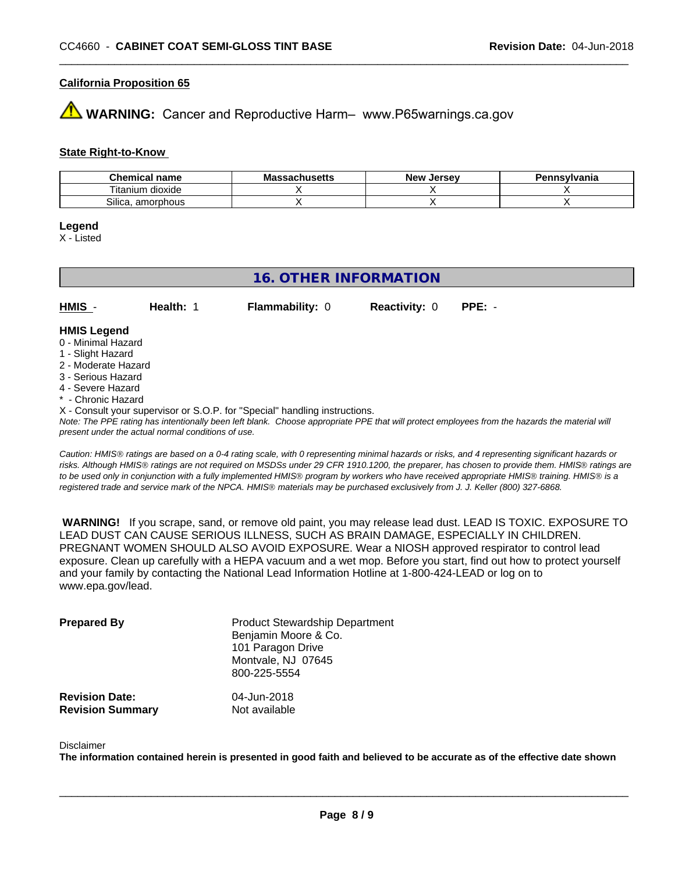### **California Proposition 65**

**AVIMARNING:** Cancer and Reproductive Harm– www.P65warnings.ca.gov

### **State Right-to-Know**

| Chemical<br>name               | Mass<br>sachusetts | <b>Jersev</b><br>Nev | Pennsvlvania |
|--------------------------------|--------------------|----------------------|--------------|
| ⊦dioxide<br>l itanıum          |                    |                      |              |
| <b></b><br>Silica<br>amorphous |                    |                      |              |

#### **Legend**

X - Listed

## **16. OTHER INFORMATION**

**HMIS** - **Health:** 1 **Flammability:** 0 **Reactivity:** 0 **PPE:** -

#### **HMIS Legend**

- 0 Minimal Hazard
- 1 Slight Hazard
- 2 Moderate Hazard
- 3 Serious Hazard
- 4 Severe Hazard
- \* Chronic Hazard
- X Consult your supervisor or S.O.P. for "Special" handling instructions.

*Note: The PPE rating has intentionally been left blank. Choose appropriate PPE that will protect employees from the hazards the material will present under the actual normal conditions of use.*

*Caution: HMISÒ ratings are based on a 0-4 rating scale, with 0 representing minimal hazards or risks, and 4 representing significant hazards or risks. Although HMISÒ ratings are not required on MSDSs under 29 CFR 1910.1200, the preparer, has chosen to provide them. HMISÒ ratings are to be used only in conjunction with a fully implemented HMISÒ program by workers who have received appropriate HMISÒ training. HMISÒ is a registered trade and service mark of the NPCA. HMISÒ materials may be purchased exclusively from J. J. Keller (800) 327-6868.*

 **WARNING!** If you scrape, sand, or remove old paint, you may release lead dust. LEAD IS TOXIC. EXPOSURE TO LEAD DUST CAN CAUSE SERIOUS ILLNESS, SUCH AS BRAIN DAMAGE, ESPECIALLY IN CHILDREN. PREGNANT WOMEN SHOULD ALSO AVOID EXPOSURE.Wear a NIOSH approved respirator to control lead exposure. Clean up carefully with a HEPA vacuum and a wet mop. Before you start, find out how to protect yourself and your family by contacting the National Lead Information Hotline at 1-800-424-LEAD or log on to www.epa.gov/lead.

| <b>Prepared By</b>                               | <b>Product Stewardship Department</b><br>Benjamin Moore & Co.<br>101 Paragon Drive<br>Montvale, NJ 07645<br>800-225-5554 |  |
|--------------------------------------------------|--------------------------------------------------------------------------------------------------------------------------|--|
| <b>Revision Date:</b><br><b>Revision Summary</b> | 04-Jun-2018<br>Not available                                                                                             |  |

#### Disclaimer

The information contained herein is presented in good faith and believed to be accurate as of the effective date shown